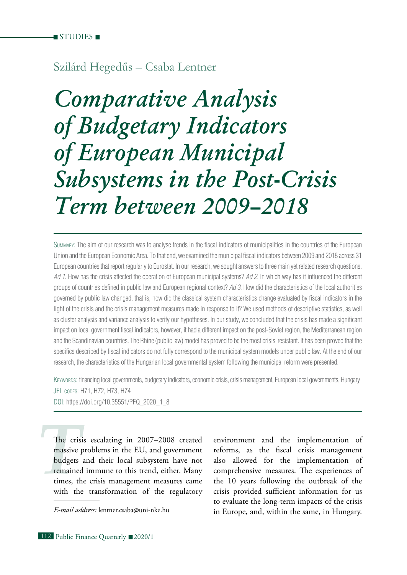# Szilárd Hegedűs – Csaba Lentner

*Comparative Analysis of Budgetary Indicators of European Municipal Subsystems in the Post-Crisis Term between 2009–2018*

Summary: The aim of our research was to analyse trends in the fiscal indicators of municipalities in the countries of the European Union and the European Economic Area. To that end, we examined the municipal fiscal indicators between 2009 and 2018 across 31 European countries that report regularly to Eurostat. In our research, we sought answers to three main yet related research questions. *Ad 1.* How has the crisis affected the operation of European municipal systems? *Ad 2.* In which way has it influenced the different groups of countries defined in public law and European regional context? *Ad 3.* How did the characteristics of the local authorities governed by public law changed, that is, how did the classical system characteristics change evaluated by fiscal indicators in the light of the crisis and the crisis management measures made in response to it? We used methods of descriptive statistics, as well as cluster analysis and variance analysis to verify our hypotheses. In our study, we concluded that the crisis has made a significant impact on local government fiscal indicators, however, it had a different impact on the post-Soviet region, the Mediterranean region and the Scandinavian countries. The Rhine (public law) model has proved to be the most crisis-resistant. It has been proved that the specifics described by fiscal indicators do not fully correspond to the municipal system models under public law. At the end of our research, the characteristics of the Hungarian local governmental system following the municipal reform were presented.

Keywords: financing local governments, budgetary indicators, economic crisis, crisis management, European local governments, Hungary JEL codes: H71, H72, H73, H74

DOI: https://doi.org/10.35551/PFQ\_2020\_1\_8

The criss<br>massive<br>budgets<br>remained<br>times, the<br>with the The crisis escalating in 2007–2008 created massive problems in the EU, and government budgets and their local subsystem have not remained immune to this trend, either. Many times, the crisis management measures came with the transformation of the regulatory

environment and the implementation of reforms, as the fiscal crisis management also allowed for the implementation of comprehensive measures. The experiences of the 10 years following the outbreak of the crisis provided sufficient information for us to evaluate the long-term impacts of the crisis *E-mail address:* lentner.csaba@uni-nke.hu in Europe, and, within the same, in Hungary.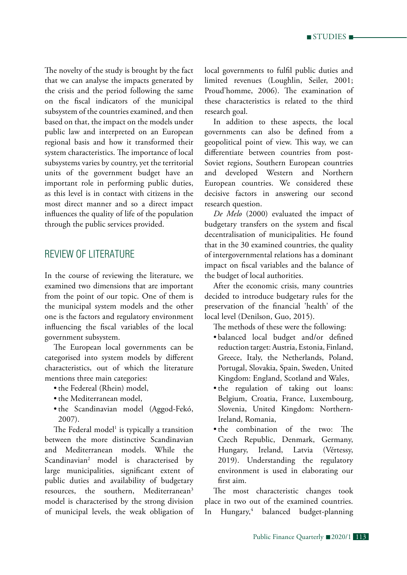The novelty of the study is brought by the fact that we can analyse the impacts generated by the crisis and the period following the same on the fiscal indicators of the municipal subsystem of the countries examined, and then based on that, the impact on the models under public law and interpreted on an European regional basis and how it transformed their system characteristics. The importance of local subsystems varies by country, yet the territorial units of the government budget have an important role in performing public duties, as this level is in contact with citizens in the most direct manner and so a direct impact influences the quality of life of the population through the public services provided.

## Review of literature

In the course of reviewing the literature, we examined two dimensions that are important from the point of our topic. One of them is the municipal system models and the other one is the factors and regulatory environment influencing the fiscal variables of the local government subsystem.

The European local governments can be categorised into system models by different characteristics, out of which the literature mentions three main categories:

- the Federeal (Rhein) model,
- the Mediterranean model,
- • the Scandinavian model (Aggod-Fekó, 2007).

The Federal model<sup>1</sup> is typically a transition between the more distinctive Scandinavian and Mediterranean models. While the Scandinavian2 model is characterised by large municipalities, significant extent of public duties and availability of budgetary resources, the southern, Mediterranean3 model is characterised by the strong division of municipal levels, the weak obligation of local governments to fulfil public duties and limited revenues (Loughlin, Seiler, 2001; Proud'homme, 2006). The examination of these characteristics is related to the third research goal.

In addition to these aspects, the local governments can also be defined from a geopolitical point of view. This way, we can differentiate between countries from post-Soviet regions, Southern European countries and developed Western and Northern European countries. We considered these decisive factors in answering our second research question.

*De Melo* (2000) evaluated the impact of budgetary transfers on the system and fiscal decentralisation of municipalities. He found that in the 30 examined countries, the quality of intergovernmental relations has a dominant impact on fiscal variables and the balance of the budget of local authorities.

After the economic crisis, many countries decided to introduce budgetary rules for the preservation of the financial 'health' of the local level (Denilson, Guo, 2015).

The methods of these were the following:

- • balanced local budget and/or defined reduction target: Austria, Estonia, Finland, Greece, Italy, the Netherlands, Poland, Portugal, Slovakia, Spain, Sweden, United Kingdom: England, Scotland and Wales,
- • the regulation of taking out loans: Belgium, Croatia, France, Luxembourg, Slovenia, United Kingdom: Northern-Ireland, Romania,
- the combination of the two: The Czech Republic, Denmark, Germany, Hungary, Ireland, Latvia (Vértessy, 2019). Understanding the regulatory environment is used in elaborating our first aim.

The most characteristic changes took place in two out of the examined countries. In Hungary,<sup>4</sup> balanced budget-planning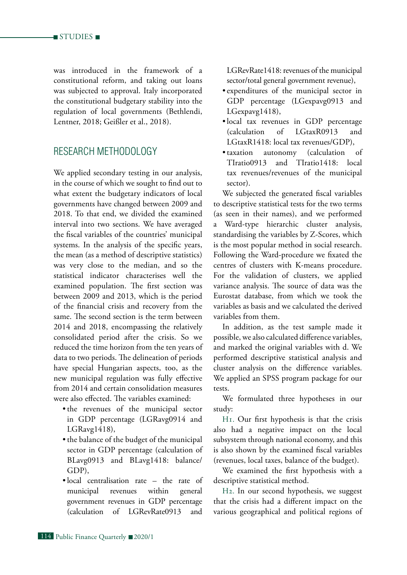was introduced in the framework of a constitutional reform, and taking out loans was subjected to approval. Italy incorporated the constitutional budgetary stability into the regulation of local governments (Bethlendi, Lentner, 2018; Geißler et al., 2018).

## Research methodology

We applied secondary testing in our analysis, in the course of which we sought to find out to what extent the budgetary indicators of local governments have changed between 2009 and 2018. To that end, we divided the examined interval into two sections. We have averaged the fiscal variables of the countries' municipal systems. In the analysis of the specific years, the mean (as a method of descriptive statistics) was very close to the median, and so the statistical indicator characterises well the examined population. The first section was between 2009 and 2013, which is the period of the financial crisis and recovery from the same. The second section is the term between 2014 and 2018, encompassing the relatively consolidated period after the crisis. So we reduced the time horizon from the ten years of data to two periods. The delineation of periods have special Hungarian aspects, too, as the new municipal regulation was fully effective from 2014 and certain consolidation measures were also effected. The variables examined:

- the revenues of the municipal sector in GDP percentage (LGRavg0914 and LGRavg1418),
- the balance of the budget of the municipal sector in GDP percentage (calculation of BLavg0913 and BLavg1418: balance/ GDP),
- • local centralisation rate the rate of municipal revenues within general government revenues in GDP percentage (calculation of LGRevRate0913 and

LGRevRate1418: revenues of the municipal sector/total general government revenue),

- • expenditures of the municipal sector in GDP percentage (LGexpavg0913 and LGexpavg1418),
- • local tax revenues in GDP percentage (calculation of LGtaxR0913 and LGtaxR1418: local tax revenues/GDP),
- taxation autonomy (calculation of TIratio0913 and TIratio1418: local tax revenues/revenues of the municipal sector).

We subjected the generated fiscal variables to descriptive statistical tests for the two terms (as seen in their names), and we performed a Ward-type hierarchic cluster analysis, standardising the variables by Z-Scores, which is the most popular method in social research. Following the Ward-procedure we fixated the centres of clusters with K-means procedure. For the validation of clusters, we applied variance analysis. The source of data was the Eurostat database, from which we took the variables as basis and we calculated the derived variables from them.

In addition, as the test sample made it possible, we also calculated difference variables, and marked the original variables with d. We performed descriptive statistical analysis and cluster analysis on the difference variables. We applied an SPSS program package for our tests.

We formulated three hypotheses in our study:

H1. Our first hypothesis is that the crisis also had a negative impact on the local subsystem through national economy, and this is also shown by the examined fiscal variables (revenues, local taxes, balance of the budget).

We examined the first hypothesis with a descriptive statistical method.

H2. In our second hypothesis, we suggest that the crisis had a different impact on the various geographical and political regions of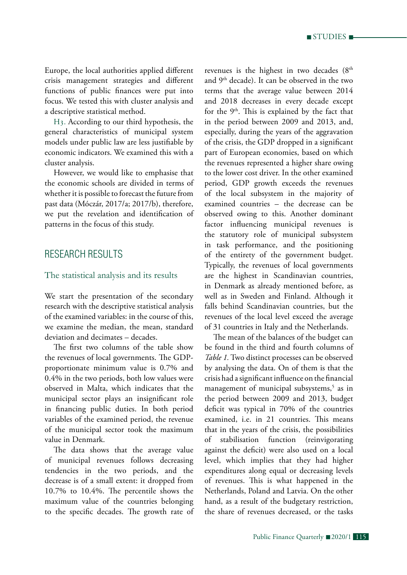Europe, the local authorities applied different crisis management strategies and different functions of public finances were put into focus. We tested this with cluster analysis and a descriptive statistical method.

H3. According to our third hypothesis, the general characteristics of municipal system models under public law are less justifiable by economic indicators. We examined this with a cluster analysis.

However, we would like to emphasise that the economic schools are divided in terms of whether it is possible to forecast the future from past data (Móczár, 2017/a; 2017/b), therefore, we put the revelation and identification of patterns in the focus of this study.

## RESEARCH RESULTS

### The statistical analysis and its results

We start the presentation of the secondary research with the descriptive statistical analysis of the examined variables: in the course of this, we examine the median, the mean, standard deviation and decimates – decades.

The first two columns of the table show the revenues of local governments. The GDPproportionate minimum value is 0.7% and 0.4% in the two periods, both low values were observed in Malta, which indicates that the municipal sector plays an insignificant role in financing public duties. In both period variables of the examined period, the revenue of the municipal sector took the maximum value in Denmark.

The data shows that the average value of municipal revenues follows decreasing tendencies in the two periods, and the decrease is of a small extent: it dropped from 10.7% to 10.4%. The percentile shows the maximum value of the countries belonging to the specific decades. The growth rate of revenues is the highest in two decades  $(8<sup>th</sup>$ and 9th decade). It can be observed in the two terms that the average value between 2014 and 2018 decreases in every decade except for the  $9<sup>th</sup>$ . This is explained by the fact that in the period between 2009 and 2013, and, especially, during the years of the aggravation of the crisis, the GDP dropped in a significant part of European economies, based on which the revenues represented a higher share owing to the lower cost driver. In the other examined period, GDP growth exceeds the revenues of the local subsystem in the majority of examined countries – the decrease can be observed owing to this. Another dominant factor influencing municipal revenues is the statutory role of municipal subsystem in task performance, and the positioning of the entirety of the government budget. Typically, the revenues of local governments are the highest in Scandinavian countries, in Denmark as already mentioned before, as well as in Sweden and Finland. Although it falls behind Scandinavian countries, but the revenues of the local level exceed the average of 31 countries in Italy and the Netherlands.

The mean of the balances of the budget can be found in the third and fourth columns of *Table 1.*Two distinct processes can be observed by analysing the data. On of them is that the crisis had a significant influence on the financial management of municipal subsystems,<sup>5</sup> as in the period between 2009 and 2013, budget deficit was typical in 70% of the countries examined, i.e. in 21 countries. This means that in the years of the crisis, the possibilities of stabilisation function (reinvigorating against the deficit) were also used on a local level, which implies that they had higher expenditures along equal or decreasing levels of revenues. This is what happened in the Netherlands, Poland and Latvia. On the other hand, as a result of the budgetary restriction, the share of revenues decreased, or the tasks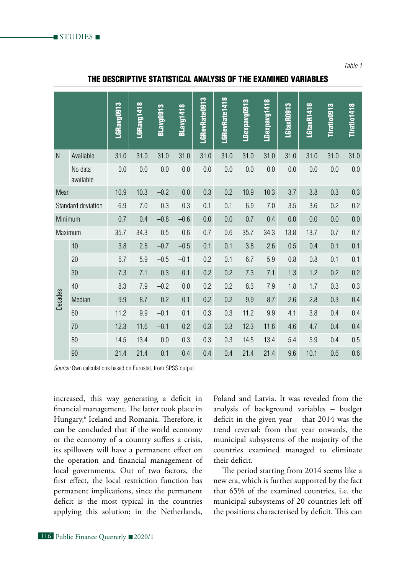|                    |                      | LGRavg0913 | LGRavg1418 | BLavg0913 | BLavg1418 | LGRevRate0913 | LGRevRate1418 | LGexpavg0913 | LGexpavg1418 | LGtaxR0913 | LGtaxR1418 | Tiratio0913 | Tiratio1418 |
|--------------------|----------------------|------------|------------|-----------|-----------|---------------|---------------|--------------|--------------|------------|------------|-------------|-------------|
| N                  | Available            | 31.0       | 31.0       | 31.0      | 31.0      | 31.0          | 31.0          | 31.0         | 31.0         | 31.0       | 31.0       | 31.0        | 31.0        |
|                    | No data<br>available | $0.0\,$    | $0.0\,$    | $0.0\,$   | $0.0\,$   | $0.0\,$       | $0.0\,$       | $0.0\,$      | 0.0          | $0.0\,$    | $0.0\,$    | $0.0\,$     | $0.0\,$     |
| Mean               |                      | 10.9       | 10.3       | $-0.2$    | 0.0       | 0.3           | 0.2           | 10.9         | 10.3         | 3.7        | 3.8        | 0.3         | 0.3         |
| Standard deviation |                      | 6.9        | $7.0\,$    | 0.3       | 0.3       | 0.1           | 0.1           | 6.9          | $7.0\,$      | 3.5        | 3.6        | 0.2         | 0.2         |
| Minimum            |                      | 0.7        | 0.4        | $-0.8$    | $-0.6$    | $0.0\,$       | $0.0\,$       | 0.7          | 0.4          | $0.0\,$    | 0.0        | $0.0\,$     | 0.0         |
| Maximum            |                      | 35.7       | 34.3       | 0.5       | 0.6       | 0.7           | 0.6           | 35.7         | 34.3         | 13.8       | 13.7       | 0.7         | 0.7         |
|                    | 10                   | 3.8        | 2.6        | $-0.7$    | $-0.5$    | 0.1           | 0.1           | 3.8          | 2.6          | 0.5        | 0.4        | 0.1         | 0.1         |
|                    | 20                   | 6.7        | $5.9\,$    | $-0.5$    | $-0.1$    | 0.2           | 0.1           | 6.7          | 5.9          | $0.8\,$    | 0.8        | 0.1         | 0.1         |
|                    | 30                   | 7.3        | 7.1        | $-0.3$    | $-0.1$    | 0.2           | 0.2           | 7.3          | 7.1          | 1.3        | 1.2        | 0.2         | 0.2         |
|                    | 40                   | 8.3        | $7.9\,$    | $-0.2$    | $0.0\,$   | 0.2           | 0.2           | 8.3          | 7.9          | 1.8        | 1.7        | $0.3\,$     | $0.3\,$     |
| <b>Decades</b>     | Median               | 9.9        | 8.7        | $-0.2$    | 0.1       | 0.2           | 0.2           | $9.9\,$      | 8.7          | 2.6        | 2.8        | 0.3         | 0.4         |
|                    | 60                   | 11.2       | $9.9\,$    | $-0.1$    | 0.1       | 0.3           | 0.3           | 11.2         | 9.9          | 4.1        | 3.8        | 0.4         | 0.4         |
|                    | 70                   | 12.3       | 11.6       | $-0.1$    | 0.2       | $0.3\,$       | 0.3           | 12.3         | 11.6         | 4.6        | 4.7        | 0.4         | 0.4         |
|                    | 80                   | 14.5       | 13.4       | $0.0\,$   | $0.3\,$   | 0.3           | 0.3           | 14.5         | 13.4         | 5.4        | 5.9        | 0.4         | 0.5         |
|                    | $90\,$               | 21.4       | 21.4       | 0.1       | 0.4       | 0.4           | 0.4           | 21.4         | 21.4         | 9.6        | 10.1       | 0.6         | 0.6         |

### The descriptive statistical analysis of the examined variables

*Source:* Own calculations based on Eurostat, from SPSS output

increased, this way generating a deficit in financial management. The latter took place in Hungary,<sup>6</sup> Iceland and Romania. Therefore, it can be concluded that if the world economy or the economy of a country suffers a crisis, its spillovers will have a permanent effect on the operation and financial management of local governments. Out of two factors, the first effect, the local restriction function has permanent implications, since the permanent deficit is the most typical in the countries applying this solution: in the Netherlands, Poland and Latvia. It was revealed from the analysis of background variables – budget deficit in the given year – that 2014 was the trend reversal: from that year onwards, the municipal subsystems of the majority of the countries examined managed to eliminate their deficit.

The period starting from 2014 seems like a new era, which is further supported by the fact that 65% of the examined countries, i.e. the municipal subsystems of 20 countries left off the positions characterised by deficit. This can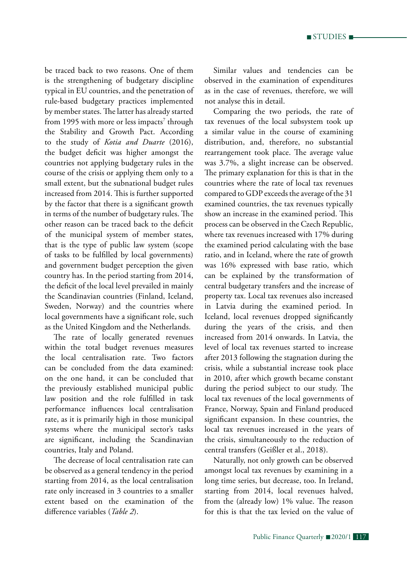$\blacksquare$  STUDIES  $\blacksquare$ 

be traced back to two reasons. One of them is the strengthening of budgetary discipline typical in EU countries, and the penetration of rule-based budgetary practices implemented by member states. The latter has already started from 1995 with more or less impacts<sup>7</sup> through the Stability and Growth Pact. According to the study of *Kotia and Duarte* (2016), the budget deficit was higher amongst the countries not applying budgetary rules in the course of the crisis or applying them only to a small extent, but the subnational budget rules increased from 2014. This is further supported by the factor that there is a significant growth in terms of the number of budgetary rules. The other reason can be traced back to the deficit of the municipal system of member states, that is the type of public law system (scope of tasks to be fulfilled by local governments) and government budget perception the given country has. In the period starting from 2014, the deficit of the local level prevailed in mainly the Scandinavian countries (Finland, Iceland, Sweden, Norway) and the countries where local governments have a significant role, such as the United Kingdom and the Netherlands.

The rate of locally generated revenues within the total budget revenues measures the local centralisation rate. Two factors can be concluded from the data examined: on the one hand, it can be concluded that the previously established municipal public law position and the role fulfilled in task performance influences local centralisation rate, as it is primarily high in those municipal systems where the municipal sector's tasks are significant, including the Scandinavian countries, Italy and Poland.

The decrease of local centralisation rate can be observed as a general tendency in the period starting from 2014, as the local centralisation rate only increased in 3 countries to a smaller extent based on the examination of the difference variables (*Table 2*).

Similar values and tendencies can be observed in the examination of expenditures as in the case of revenues, therefore, we will not analyse this in detail.

Comparing the two periods, the rate of tax revenues of the local subsystem took up a similar value in the course of examining distribution, and, therefore, no substantial rearrangement took place. The average value was 3.7%, a slight increase can be observed. The primary explanation for this is that in the countries where the rate of local tax revenues compared to GDP exceeds the average of the 31 examined countries, the tax revenues typically show an increase in the examined period. This process can be observed in the Czech Republic, where tax revenues increased with 17% during the examined period calculating with the base ratio, and in Iceland, where the rate of growth was 16% expressed with base ratio, which can be explained by the transformation of central budgetary transfers and the increase of property tax. Local tax revenues also increased in Latvia during the examined period. In Iceland, local revenues dropped significantly during the years of the crisis, and then increased from 2014 onwards. In Latvia, the level of local tax revenues started to increase after 2013 following the stagnation during the crisis, while a substantial increase took place in 2010, after which growth became constant during the period subject to our study. The local tax revenues of the local governments of France, Norway, Spain and Finland produced significant expansion. In these countries, the local tax revenues increased in the years of the crisis, simultaneously to the reduction of central transfers (Geißler et al., 2018).

Naturally, not only growth can be observed amongst local tax revenues by examining in a long time series, but decrease, too. In Ireland, starting from 2014, local revenues halved, from the (already low) 1% value. The reason for this is that the tax levied on the value of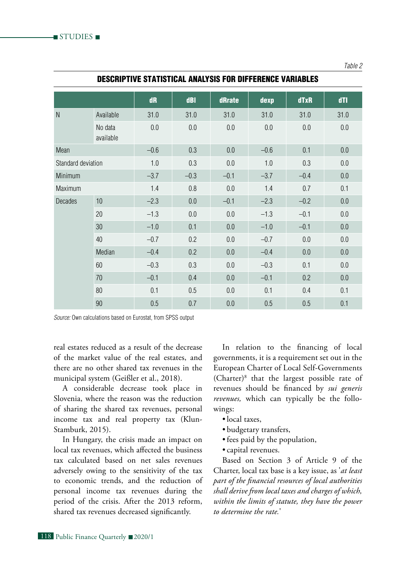|                    |                      | dR     | dBI     | dRrate  | dexp    | dTxR    | dTI     |
|--------------------|----------------------|--------|---------|---------|---------|---------|---------|
| N                  | Available            | 31.0   | 31.0    | 31.0    | 31.0    | 31.0    | 31.0    |
|                    | No data<br>available | 0.0    | $0.0\,$ | 0.0     | $0.0\,$ | $0.0\,$ | $0.0\,$ |
| Mean               |                      | $-0.6$ | 0.3     | 0.0     | $-0.6$  | 0.1     | 0.0     |
| Standard deviation |                      | 1.0    | 0.3     | 0.0     | 1.0     | 0.3     | $0.0\,$ |
| Minimum            |                      | $-3.7$ | $-0.3$  | $-0.1$  | $-3.7$  | $-0.4$  | $0.0\,$ |
| Maximum            |                      | 1.4    | 0.8     | 0.0     | 1.4     | 0.7     | 0.1     |
| <b>Decades</b>     | 10                   | $-2.3$ | $0.0\,$ | $-0.1$  | $-2.3$  | $-0.2$  | $0.0\,$ |
|                    | 20                   | $-1.3$ | 0.0     | 0.0     | $-1.3$  | $-0.1$  | 0.0     |
|                    | 30                   | $-1.0$ | 0.1     | $0.0\,$ | $-1.0$  | $-0.1$  | $0.0\,$ |
|                    | 40                   | $-0.7$ | 0.2     | $0.0\,$ | $-0.7$  | $0.0\,$ | $0.0\,$ |
|                    | Median               | $-0.4$ | 0.2     | 0.0     | $-0.4$  | $0.0\,$ | 0.0     |
|                    | 60                   | $-0.3$ | 0.3     | 0.0     | $-0.3$  | 0.1     | 0.0     |
|                    | 70                   | $-0.1$ | 0.4     | $0.0\,$ | $-0.1$  | 0.2     | 0.0     |
|                    | 80                   | 0.1    | 0.5     | 0.0     | 0.1     | 0.4     | 0.1     |
|                    | 90                   | 0.5    | 0.7     | $0.0\,$ | 0.5     | 0.5     | 0.1     |

#### Descriptive statistical analysis for difference variables

*Source:* Own calculations based on Eurostat, from SPSS output

real estates reduced as a result of the decrease of the market value of the real estates, and there are no other shared tax revenues in the municipal system (Geißler et al., 2018).

A considerable decrease took place in Slovenia, where the reason was the reduction of sharing the shared tax revenues, personal income tax and real property tax (Klun-Stamburk, 2015).

In Hungary, the crisis made an impact on local tax revenues, which affected the business tax calculated based on net sales revenues adversely owing to the sensitivity of the tax to economic trends, and the reduction of personal income tax revenues during the period of the crisis. After the 2013 reform, shared tax revenues decreased significantly.

In relation to the financing of local governments, it is a requirement set out in the European Charter of Local Self-Governments (Charter)8 that the largest possible rate of revenues should be financed by *sui generis revenues,* which can typically be the followings:

*Table 2*

- local taxes,
- • budgetary transfers,
- fees paid by the population,
- • capital revenues.

Based on Section 3 of Article 9 of the Charter, local tax base is a key issue, as '*at least part of the financial resources of local authorities shall derive from local taxes and charges of which, within the limits of statute, they have the power to determine the rate.*'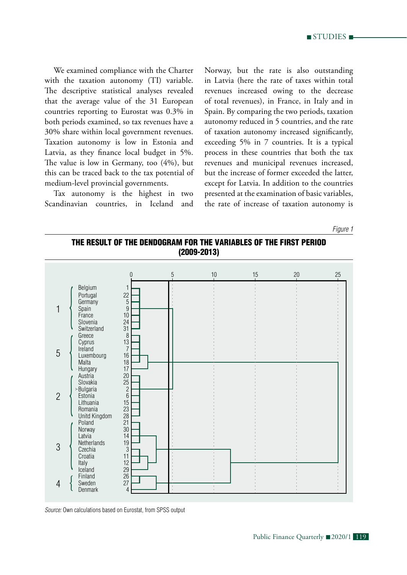

We examined compliance with the Charter with the taxation autonomy (TI) variable. The descriptive statistical analyses revealed that the average value of the 31 European countries reporting to Eurostat was 0.3% in both periods examined, so tax revenues have a 30% share within local government revenues. Taxation autonomy is low in Estonia and Latvia, as they finance local budget in 5%. The value is low in Germany, too (4%), but this can be traced back to the tax potential of medium-level provincial governments.

Tax autonomy is the highest in two Scandinavian countries, in Iceland and Norway, but the rate is also outstanding in Latvia (here the rate of taxes within total revenues increased owing to the decrease of total revenues), in France, in Italy and in Spain. By comparing the two periods, taxation autonomy reduced in 5 countries, and the rate of taxation autonomy increased significantly, exceeding 5% in 7 countries. It is a typical process in these countries that both the tax revenues and municipal revenues increased, but the increase of former exceeded the latter, except for Latvia. In addition to the countries presented at the examination of basic variables, the rate of increase of taxation autonomy is

*Figure 1*





*Source:* Own calculations based on Eurostat, from SPSS output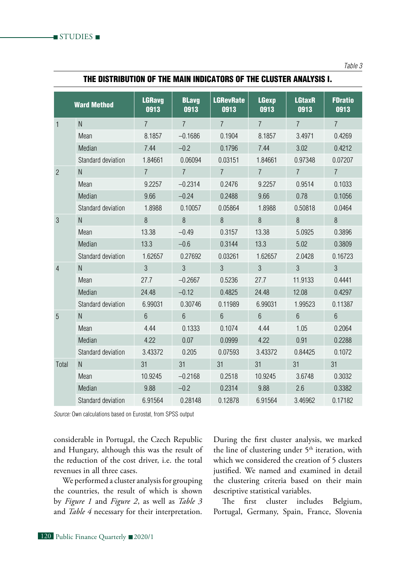| THE DISTRIBUTION OF THE MAIN INDICATORS OF THE CLUSTER ANALYSIS I. |  |
|--------------------------------------------------------------------|--|
|--------------------------------------------------------------------|--|

|                | <b>Ward Method</b> | <b>LGRavg</b><br>0913 | <b>BLavg</b><br>0913 | <b>LGRevRate</b><br>0913 | <b>LGexp</b><br>0913 | <b>LGtaxR</b><br>0913 | <b>FDratio</b><br>0913 |
|----------------|--------------------|-----------------------|----------------------|--------------------------|----------------------|-----------------------|------------------------|
| 1              | ${\sf N}$          | $\overline{7}$        | $\overline{7}$       | $\overline{7}$           | $\overline{7}$       | $\overline{7}$        | $\overline{7}$         |
|                | Mean               | 8.1857                | $-0.1686$            | 0.1904                   | 8.1857               | 3.4971                | 0.4269                 |
|                | Median             | 7.44                  | $-0.2$               | 0.1796                   | 7.44                 | 3.02                  | 0.4212                 |
|                | Standard deviation | 1.84661               | 0.06094              | 0.03151                  | 1.84661              | 0.97348               | 0.07207                |
| $\overline{2}$ | $\mathsf{N}$       | $\overline{7}$        | $\overline{7}$       | $\overline{7}$           | $\overline{7}$       | $\overline{7}$        | $\overline{7}$         |
|                | Mean               | 9.2257                | $-0.2314$            | 0.2476                   | 9.2257               | 0.9514                | 0.1033                 |
|                | Median             | 9.66                  | $-0.24$              | 0.2488                   | 9.66                 | 0.78                  | 0.1056                 |
|                | Standard deviation | 1.8988                | 0.10057              | 0.05864                  | 1.8988               | 0.50818               | 0.0464                 |
| 3              | $\mathsf{N}$       | 8                     | 8                    | 8                        | 8                    | 8                     | 8                      |
|                | Mean               | 13.38                 | $-0.49$              | 0.3157                   | 13.38                | 5.0925                | 0.3896                 |
|                | Median             | 13.3                  | $-0.6$               | 0.3144                   | 13.3                 | 5.02                  | 0.3809                 |
|                | Standard deviation | 1.62657               | 0.27692              | 0.03261                  | 1.62657              | 2.0428                | 0.16723                |
| 4              | $\mathsf{N}$       | $\mathfrak{Z}$        | 3                    | $\mathfrak{S}$           | 3                    | 3                     | 3                      |
|                | Mean               | 27.7                  | $-0.2667$            | 0.5236                   | 27.7                 | 11.9133               | 0.4441                 |
|                | Median             | 24.48                 | $-0.12$              | 0.4825                   | 24.48                | 12.08                 | 0.4297                 |
|                | Standard deviation | 6.99031               | 0.30746              | 0.11989                  | 6.99031              | 1.99523               | 0.11387                |
| 5              | ${\sf N}$          | $6\phantom{1}$        | $6\phantom{a}$       | $6\phantom{1}$           | $6\phantom{1}$       | $6\overline{6}$       | $6\phantom{.}6$        |
|                | Mean               | 4.44                  | 0.1333               | 0.1074                   | 4.44                 | 1.05                  | 0.2064                 |
|                | Median             | 4.22                  | 0.07                 | 0.0999                   | 4.22                 | 0.91                  | 0.2288                 |
|                | Standard deviation | 3.43372               | 0.205                | 0.07593                  | 3.43372              | 0.84425               | 0.1072                 |
| Total          | ${\sf N}$          | 31                    | 31                   | 31                       | 31                   | 31                    | 31                     |
|                | Mean               | 10.9245               | $-0.2168$            | 0.2518                   | 10.9245              | 3.6748                | 0.3032                 |
|                | Median             | 9.88                  | $-0.2$               | 0.2314                   | 9.88                 | 2.6                   | 0.3382                 |
|                | Standard deviation | 6.91564               | 0.28148              | 0.12878                  | 6.91564              | 3.46962               | 0.17182                |

*Source:* Own calculations based on Eurostat, from SPSS output

considerable in Portugal, the Czech Republic and Hungary, although this was the result of the reduction of the cost driver, i.e. the total revenues in all three cases.

We performed a cluster analysis for grouping the countries, the result of which is shown by *Figure 1* and *Figure 2*, as well as *Table 3* and *Table 4* necessary for their interpretation.

During the first cluster analysis, we marked the line of clustering under 5<sup>th</sup> iteration, with which we considered the creation of 5 clusters justified. We named and examined in detail the clustering criteria based on their main descriptive statistical variables.

The first cluster includes Belgium, Portugal, Germany, Spain, France, Slovenia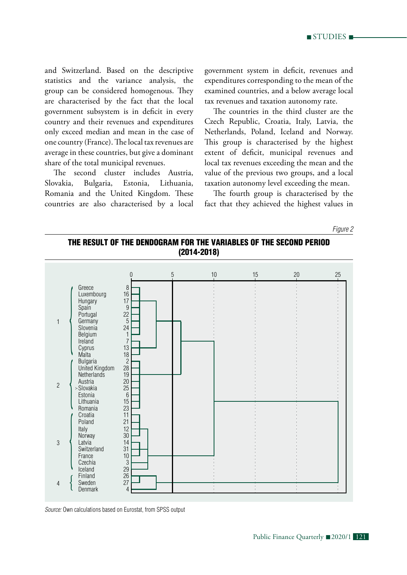and Switzerland. Based on the descriptive statistics and the variance analysis, the group can be considered homogenous. They are characterised by the fact that the local government subsystem is in deficit in every country and their revenues and expenditures only exceed median and mean in the case of one country (France). The local tax revenues are average in these countries, but give a dominant share of the total municipal revenues.

The second cluster includes Austria, Slovakia, Bulgaria, Estonia, Lithuania, Romania and the United Kingdom. These countries are also characterised by a local government system in deficit, revenues and expenditures corresponding to the mean of the examined countries, and a below average local tax revenues and taxation autonomy rate.

The countries in the third cluster are the Czech Republic, Croatia, Italy, Latvia, the Netherlands, Poland, Iceland and Norway. This group is characterised by the highest extent of deficit, municipal revenues and local tax revenues exceeding the mean and the value of the previous two groups, and a local taxation autonomy level exceeding the mean.

The fourth group is characterised by the fact that they achieved the highest values in

*Figure 2*

### The result of the dendogram for the variables of the second period (2014-2018)



*Source:* Own calculations based on Eurostat, from SPSS output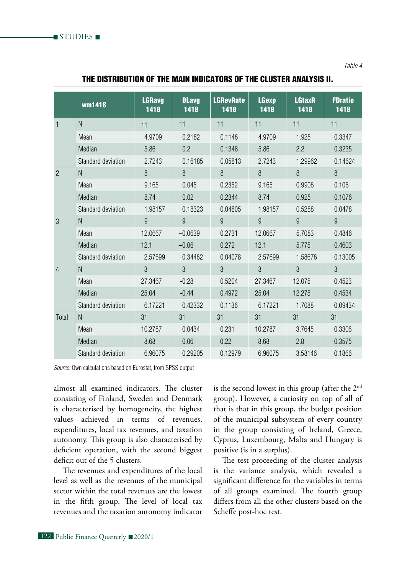| THE BIGTHIBGTON OF THE MAIN INBIGATORO OF THE GEOGLER ANALI GIG II. |        |                       |                      |                          |                      |                       |                        |  |  |  |
|---------------------------------------------------------------------|--------|-----------------------|----------------------|--------------------------|----------------------|-----------------------|------------------------|--|--|--|
|                                                                     | wm1418 | <b>LGRavg</b><br>1418 | <b>BLavg</b><br>1418 | <b>LGRevRate</b><br>1418 | <b>LGexp</b><br>1418 | <b>LGtaxR</b><br>1418 | <b>FDratio</b><br>1418 |  |  |  |
|                                                                     |        |                       |                      |                          |                      |                       |                        |  |  |  |

2 N 8 8 8 8 8 8 8 8

3 N 9 9 9 9 9 9

4 N 3 3 3 3 3 3 3

Total N 31 31 31 31 31 31

Mean 4.9709 0.2182 0.1146 4.9709 1.925 0.3347 Median 5.86 0.2 0.1348 5.86 2.2 0.3235 Standard deviation 2.7243 0.16185 0.05813 2.7243 1.29962 0.14624

Mean 9.165 0.045 0.2352 9.165 0.9906 0.106 Median 8.74 0.02 0.2344 8.74 0.925 0.1076 Standard deviation 1.98157 0.18323 0.04805 1.98157 0.5288 0.0478

Mean 12.0667 –0.0639 0.2731 12.0667 5.7083 0.4846 Median 12.1 –0.06 0.272 12.1 5.775 0.4603 Standard deviation 2.57699 0.34462 0.04078 2.57699 1.58676 0.13005

Mean 27.3467 -0.28 0.5204 27.3467 12.075 0.4523 Median 25.04 -0.44 0.4972 25.04 12.275 0.4534 Standard deviation 6.17221 0.42332 0.1136 6.17221 1.7088 0.09434

Mean 10.2787 0.0434 0.231 10.2787 3.7645 0.3306 Median 8.68 0.06 0.22 8.68 2.8 0.3575 Standard deviation 6.96075 0.29205 0.12979 6.96075 3.58146 0.1866

### THE DISTRIBUTION OF THE MAIN INDICATORS OF THE CLUSTER ANALYSIS II.

*Source:* Own calculations based on Eurostat, from SPSS output

almost all examined indicators. The cluster consisting of Finland, Sweden and Denmark is characterised by homogeneity, the highest values achieved in terms of revenues, expenditures, local tax revenues, and taxation autonomy. This group is also characterised by deficient operation, with the second biggest deficit out of the 5 clusters.

The revenues and expenditures of the local level as well as the revenues of the municipal sector within the total revenues are the lowest in the fifth group. The level of local tax revenues and the taxation autonomy indicator is the second lowest in this group (after the  $2<sup>nd</sup>$ group). However, a curiosity on top of all of that is that in this group, the budget position of the municipal subsystem of every country in the group consisting of Ireland, Greece, Cyprus, Luxembourg, Malta and Hungary is positive (is in a surplus).

The test proceeding of the cluster analysis is the variance analysis, which revealed a significant difference for the variables in terms of all groups examined. The fourth group differs from all the other clusters based on the Scheffe post-hoc test.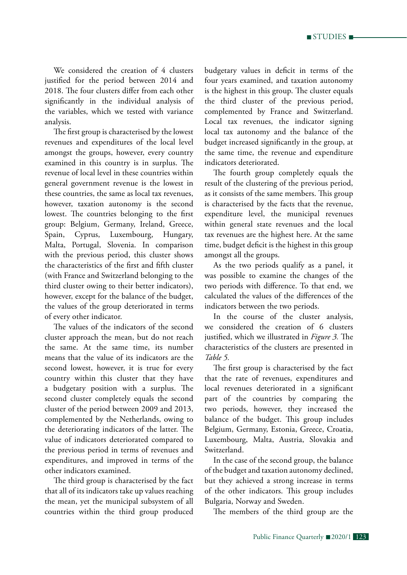We considered the creation of 4 clusters justified for the period between 2014 and 2018. The four clusters differ from each other significantly in the individual analysis of the variables, which we tested with variance analysis.

The first group is characterised by the lowest revenues and expenditures of the local level amongst the groups, however, every country examined in this country is in surplus. The revenue of local level in these countries within general government revenue is the lowest in these countries, the same as local tax revenues, however, taxation autonomy is the second lowest. The countries belonging to the first group: Belgium, Germany, Ireland, Greece, Spain, Cyprus, Luxembourg, Hungary, Malta, Portugal, Slovenia. In comparison with the previous period, this cluster shows the characteristics of the first and fifth cluster (with France and Switzerland belonging to the third cluster owing to their better indicators), however, except for the balance of the budget, the values of the group deteriorated in terms of every other indicator.

The values of the indicators of the second cluster approach the mean, but do not reach the same. At the same time, its number means that the value of its indicators are the second lowest, however, it is true for every country within this cluster that they have a budgetary position with a surplus. The second cluster completely equals the second cluster of the period between 2009 and 2013, complemented by the Netherlands, owing to the deteriorating indicators of the latter. The value of indicators deteriorated compared to the previous period in terms of revenues and expenditures, and improved in terms of the other indicators examined.

The third group is characterised by the fact that all of its indicators take up values reaching the mean, yet the municipal subsystem of all countries within the third group produced

budgetary values in deficit in terms of the four years examined, and taxation autonomy is the highest in this group. The cluster equals the third cluster of the previous period, complemented by France and Switzerland. Local tax revenues, the indicator signing local tax autonomy and the balance of the budget increased significantly in the group, at the same time, the revenue and expenditure indicators deteriorated.

The fourth group completely equals the result of the clustering of the previous period, as it consists of the same members. This group is characterised by the facts that the revenue, expenditure level, the municipal revenues within general state revenues and the local tax revenues are the highest here. At the same time, budget deficit is the highest in this group amongst all the groups.

As the two periods qualify as a panel, it was possible to examine the changes of the two periods with difference. To that end, we calculated the values of the differences of the indicators between the two periods.

In the course of the cluster analysis, we considered the creation of 6 clusters justified, which we illustrated in *Figure 3.* The characteristics of the clusters are presented in *Table 5.*

The first group is characterised by the fact that the rate of revenues, expenditures and local revenues deteriorated in a significant part of the countries by comparing the two periods, however, they increased the balance of the budget. This group includes Belgium, Germany, Estonia, Greece, Croatia, Luxembourg, Malta, Austria, Slovakia and Switzerland.

In the case of the second group, the balance of the budget and taxation autonomy declined, but they achieved a strong increase in terms of the other indicators. This group includes Bulgaria, Norway and Sweden.

The members of the third group are the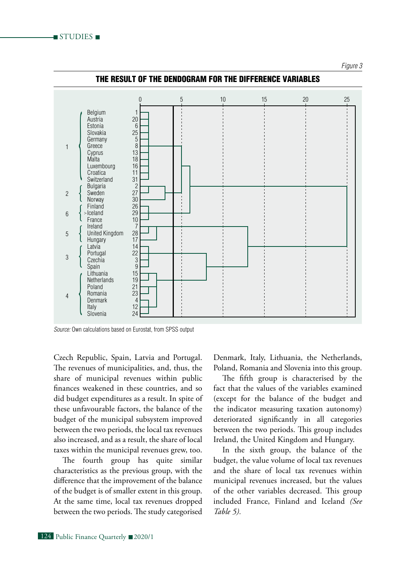#### *Figure 3*



### The result of the dendogram for the difference variables

*Source:* Own calculations based on Eurostat, from SPSS output

Czech Republic, Spain, Latvia and Portugal. The revenues of municipalities, and, thus, the share of municipal revenues within public finances weakened in these countries, and so did budget expenditures as a result. In spite of these unfavourable factors, the balance of the budget of the municipal subsystem improved between the two periods, the local tax revenues also increased, and as a result, the share of local taxes within the municipal revenues grew, too.

The fourth group has quite similar characteristics as the previous group, with the difference that the improvement of the balance of the budget is of smaller extent in this group. At the same time, local tax revenues dropped between the two periods. The study categorised

Denmark, Italy, Lithuania, the Netherlands, Poland, Romania and Slovenia into this group.

The fifth group is characterised by the fact that the values of the variables examined (except for the balance of the budget and the indicator measuring taxation autonomy) deteriorated significantly in all categories between the two periods. This group includes Ireland, the United Kingdom and Hungary.

In the sixth group, the balance of the budget, the value volume of local tax revenues and the share of local tax revenues within municipal revenues increased, but the values of the other variables decreased. This group included France, Finland and Iceland *(See Table 5).*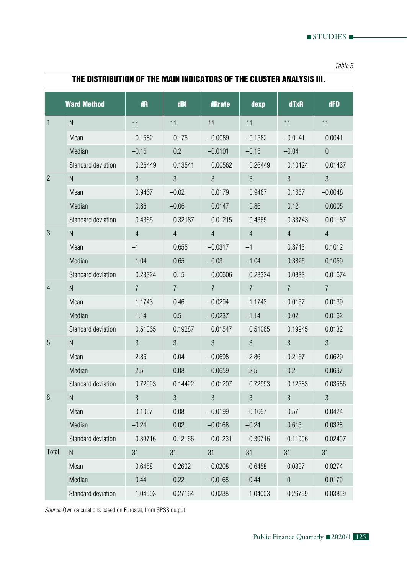*Table 5*

|                | <b>Ward Method</b> | dR             | dBI            | dRrate         | dexp           | dTxR             | dFD            |
|----------------|--------------------|----------------|----------------|----------------|----------------|------------------|----------------|
| 1              | $\mathsf{N}$       | 11             | 11             | 11             | 11             | 11               | 11             |
|                | Mean               | $-0.1582$      | 0.175          | $-0.0089$      | $-0.1582$      | $-0.0141$        | 0.0041         |
|                | Median             | $-0.16$        | 0.2            | $-0.0101$      | $-0.16$        | $-0.04$          | $\theta$       |
|                | Standard deviation | 0.26449        | 0.13541        | 0.00562        | 0.26449        | 0.10124          | 0.01437        |
| $\overline{2}$ | $\mathsf{N}$       | $\mathfrak{Z}$ | $\overline{3}$ | $\overline{3}$ | $\overline{3}$ | $\overline{3}$   | 3              |
|                | Mean               | 0.9467         | $-0.02$        | 0.0179         | 0.9467         | 0.1667           | $-0.0048$      |
|                | Median             | 0.86           | $-0.06$        | 0.0147         | 0.86           | 0.12             | 0.0005         |
|                | Standard deviation | 0.4365         | 0.32187        | 0.01215        | 0.4365         | 0.33743          | 0.01187        |
| $\sqrt{3}$     | $\mathsf{N}$       | $\overline{4}$ | $\overline{4}$ | $\overline{4}$ | $\overline{4}$ | $\overline{4}$   | $\overline{4}$ |
|                | Mean               | $-1$           | 0.655          | $-0.0317$      | $-1$           | 0.3713           | 0.1012         |
|                | Median             | $-1.04$        | 0.65           | $-0.03$        | $-1.04$        | 0.3825           | 0.1059         |
|                | Standard deviation | 0.23324        | 0.15           | 0.00606        | 0.23324        | 0.0833           | 0.01674        |
| 4              | $\mathsf{N}$       | $\overline{7}$ | $\overline{7}$ | $\overline{7}$ | $\overline{7}$ | $\overline{7}$   | $\overline{7}$ |
|                | Mean               | $-1.1743$      | 0.46           | $-0.0294$      | $-1.1743$      | $-0.0157$        | 0.0139         |
|                | Median             | $-1.14$        | 0.5            | $-0.0237$      | $-1.14$        | $-0.02$          | 0.0162         |
|                | Standard deviation | 0.51065        | 0.19287        | 0.01547        | 0.51065        | 0.19945          | 0.0132         |
| 5              | N.                 | $\mathfrak{S}$ | $\mathfrak{S}$ | $\mathfrak{S}$ | $\mathfrak{S}$ | $\overline{3}$   | 3              |
|                | Mean               | $-2.86$        | 0.04           | $-0.0698$      | $-2.86$        | $-0.2167$        | 0.0629         |
|                | Median             | $-2.5$         | 0.08           | $-0.0659$      | $-2.5$         | $-0.2$           | 0.0697         |
|                | Standard deviation | 0.72993        | 0.14422        | 0.01207        | 0.72993        | 0.12583          | 0.03586        |
| 6              | N.                 | $\mathfrak{Z}$ | $\mathfrak{S}$ | $\mathfrak{Z}$ | $\mathfrak{Z}$ | $\overline{3}$   | 3              |
|                | Mean               | $-0.1067$      | 0.08           | $-0.0199$      | $-0.1067$      | 0.57             | 0.0424         |
|                | Median             | $-0.24$        | 0.02           | $-0.0168$      | $-0.24$        | 0.615            | 0.0328         |
|                | Standard deviation | 0.39716        | 0.12166        | 0.01231        | 0.39716        | 0.11906          | 0.02497        |
| Total          | ${\sf N}$          | 31             | 31             | 31             | 31             | 31               | 31             |
|                | Mean               | $-0.6458$      | 0.2602         | $-0.0208$      | $-0.6458$      | 0.0897           | 0.0274         |
|                | Median             | $-0.44$        | 0.22           | $-0.0168$      | $-0.44$        | $\boldsymbol{0}$ | 0.0179         |
|                | Standard deviation | 1.04003        | 0.27164        | 0.0238         | 1.04003        | 0.26799          | 0.03859        |

THE DISTRIBUTION OF THE MAIN INDICATORS OF THE CLUSTER ANALYSIS III.

*Source:* Own calculations based on Eurostat, from SPSS output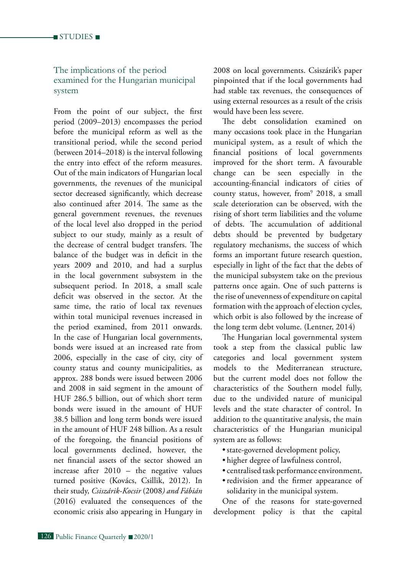### The implications of the period examined for the Hungarian municipal system

From the point of our subject, the first period (2009–2013) encompasses the period before the municipal reform as well as the transitional period, while the second period (between 2014–2018) is the interval following the entry into effect of the reform measures. Out of the main indicators of Hungarian local governments, the revenues of the municipal sector decreased significantly, which decrease also continued after 2014. The same as the general government revenues, the revenues of the local level also dropped in the period subject to our study, mainly as a result of the decrease of central budget transfers. The balance of the budget was in deficit in the years 2009 and 2010, and had a surplus in the local government subsystem in the subsequent period. In 2018, a small scale deficit was observed in the sector. At the same time, the ratio of local tax revenues within total municipal revenues increased in the period examined, from 2011 onwards. In the case of Hungarian local governments, bonds were issued at an increased rate from 2006, especially in the case of city, city of county status and county municipalities, as approx. 288 bonds were issued between 2006 and 2008 in said segment in the amount of HUF 286.5 billion, out of which short term bonds were issued in the amount of HUF 38.5 billion and long term bonds were issued in the amount of HUF 248 billion. As a result of the foregoing, the financial positions of local governments declined, however, the net financial assets of the sector showed an increase after 2010 – the negative values turned positive (Kovács, Csillik, 2012). In their study, *Csiszárik-Kocsir* (2008*) and Fábián* (2016) evaluated the consequences of the economic crisis also appearing in Hungary in 2008 on local governments. Csiszárik's paper pinpointed that if the local governments had had stable tax revenues, the consequences of using external resources as a result of the crisis would have been less severe.

The debt consolidation examined on many occasions took place in the Hungarian municipal system, as a result of which the financial positions of local governments improved for the short term. A favourable change can be seen especially in the accounting-financial indicators of cities of county status, however, from9 2018, a small scale deterioration can be observed, with the rising of short term liabilities and the volume of debts. The accumulation of additional debts should be prevented by budgetary regulatory mechanisms, the success of which forms an important future research question, especially in light of the fact that the debts of the municipal subsystem take on the previous patterns once again. One of such patterns is the rise of unevenness of expenditure on capital formation with the approach of election cycles, which orbit is also followed by the increase of the long term debt volume. (Lentner, 2014)

The Hungarian local governmental system took a step from the classical public law categories and local government system models to the Mediterranean structure, but the current model does not follow the characteristics of the Southern model fully, due to the undivided nature of municipal levels and the state character of control. In addition to the quantitative analysis, the main characteristics of the Hungarian municipal system are as follows:

- state-governed development policy,
- • higher degree of lawfulness control,
- • centralised task performance environment,
- • redivision and the firmer appearance of solidarity in the municipal system.

One of the reasons for state-governed development policy is that the capital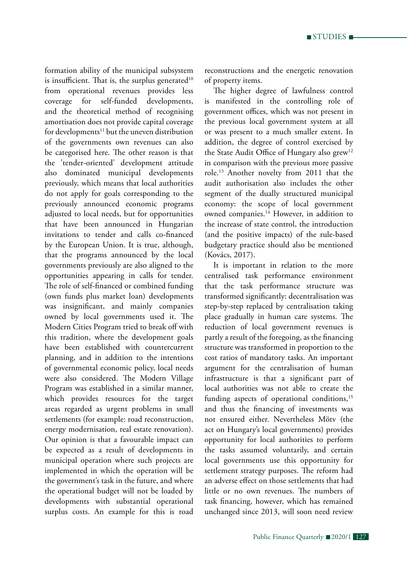formation ability of the municipal subsystem is insufficient. That is, the surplus generated<sup>10</sup> from operational revenues provides less coverage for self-funded developments, and the theoretical method of recognising amortisation does not provide capital coverage for developments<sup>11</sup> but the uneven distribution of the governments own revenues can also be categorised here. The other reason is that the 'tender-oriented' development attitude also dominated municipal developments previously, which means that local authorities do not apply for goals corresponding to the previously announced economic programs adjusted to local needs, but for opportunities that have been announced in Hungarian invitations to tender and calls co-financed by the European Union. It is true, although, that the programs announced by the local governments previously are also aligned to the opportunities appearing in calls for tender. The role of self-financed or combined funding (own funds plus market loan) developments was insignificant, and mainly companies owned by local governments used it. The Modern Cities Program tried to break off with this tradition, where the development goals have been established with countercurrent planning, and in addition to the intentions of governmental economic policy, local needs were also considered. The Modern Village Program was established in a similar manner, which provides resources for the target areas regarded as urgent problems in small settlements (for example: road reconstruction, energy modernisation, real estate renovation). Our opinion is that a favourable impact can be expected as a result of developments in municipal operation where such projects are implemented in which the operation will be the government's task in the future, and where the operational budget will not be loaded by developments with substantial operational surplus costs. An example for this is road reconstructions and the energetic renovation of property items.

The higher degree of lawfulness control is manifested in the controlling role of government offices, which was not present in the previous local government system at all or was present to a much smaller extent. In addition, the degree of control exercised by the State Audit Office of Hungary also grew<sup>12</sup> in comparison with the previous more passive role.13 Another novelty from 2011 that the audit authorisation also includes the other segment of the dually structured municipal economy: the scope of local government owned companies.<sup>14</sup> However, in addition to the increase of state control, the introduction (and the positive impacts) of the rule-based budgetary practice should also be mentioned (Kovács, 2017).

It is important in relation to the more centralised task performance environment that the task performance structure was transformed significantly: decentralisation was step-by-step replaced by centralisation taking place gradually in human care systems. The reduction of local government revenues is partly a result of the foregoing, as the financing structure was transformed in proportion to the cost ratios of mandatory tasks. An important argument for the centralisation of human infrastructure is that a significant part of local authorities was not able to create the funding aspects of operational conditions,<sup>15</sup> and thus the financing of investments was not ensured either. Nevertheless Mötv (the act on Hungary's local governments) provides opportunity for local authorities to perform the tasks assumed voluntarily, and certain local governments use this opportunity for settlement strategy purposes. The reform had an adverse effect on those settlements that had little or no own revenues. The numbers of task financing, however, which has remained unchanged since 2013, will soon need review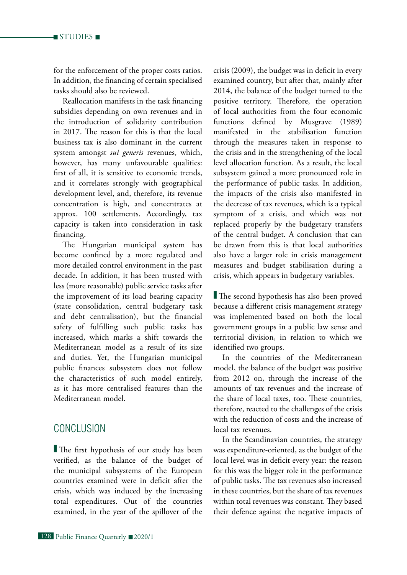for the enforcement of the proper costs ratios. In addition, the financing of certain specialised tasks should also be reviewed.

Reallocation manifests in the task financing subsidies depending on own revenues and in the introduction of solidarity contribution in 2017. The reason for this is that the local business tax is also dominant in the current system amongst *sui generis* revenues, which, however, has many unfavourable qualities: first of all, it is sensitive to economic trends, and it correlates strongly with geographical development level, and, therefore, its revenue concentration is high, and concentrates at approx. 100 settlements. Accordingly, tax capacity is taken into consideration in task financing.

The Hungarian municipal system has become confined by a more regulated and more detailed control environment in the past decade. In addition, it has been trusted with less (more reasonable) public service tasks after the improvement of its load bearing capacity (state consolidation, central budgetary task and debt centralisation), but the financial safety of fulfilling such public tasks has increased, which marks a shift towards the Mediterranean model as a result of its size and duties. Yet, the Hungarian municipal public finances subsystem does not follow the characteristics of such model entirely, as it has more centralised features than the Mediterranean model.

## **CONCLUSION**

 The first hypothesis of our study has been verified, as the balance of the budget of the municipal subsystems of the European countries examined were in deficit after the crisis, which was induced by the increasing total expenditures. Out of the countries examined, in the year of the spillover of the

crisis (2009), the budget was in deficit in every examined country, but after that, mainly after 2014, the balance of the budget turned to the positive territory. Therefore, the operation of local authorities from the four economic functions defined by Musgrave (1989) manifested in the stabilisation function through the measures taken in response to the crisis and in the strengthening of the local level allocation function. As a result, the local subsystem gained a more pronounced role in the performance of public tasks. In addition, the impacts of the crisis also manifested in the decrease of tax revenues, which is a typical symptom of a crisis, and which was not replaced properly by the budgetary transfers of the central budget. A conclusion that can be drawn from this is that local authorities also have a larger role in crisis management measures and budget stabilisation during a crisis, which appears in budgetary variables.

 The second hypothesis has also been proved because a different crisis management strategy was implemented based on both the local government groups in a public law sense and territorial division, in relation to which we identified two groups.

In the countries of the Mediterranean model, the balance of the budget was positive from 2012 on, through the increase of the amounts of tax revenues and the increase of the share of local taxes, too. These countries, therefore, reacted to the challenges of the crisis with the reduction of costs and the increase of local tax revenues.

In the Scandinavian countries, the strategy was expenditure-oriented, as the budget of the local level was in deficit every year: the reason for this was the bigger role in the performance of public tasks. The tax revenues also increased in these countries, but the share of tax revenues within total revenues was constant. They based their defence against the negative impacts of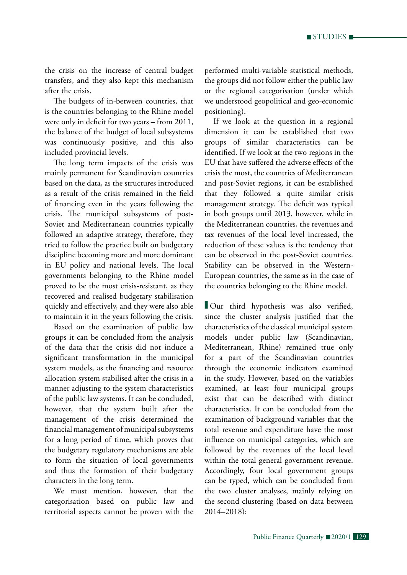the crisis on the increase of central budget transfers, and they also kept this mechanism after the crisis.

The budgets of in-between countries, that is the countries belonging to the Rhine model were only in deficit for two years – from 2011, the balance of the budget of local subsystems was continuously positive, and this also included provincial levels.

The long term impacts of the crisis was mainly permanent for Scandinavian countries based on the data, as the structures introduced as a result of the crisis remained in the field of financing even in the years following the crisis. The municipal subsystems of post-Soviet and Mediterranean countries typically followed an adaptive strategy, therefore, they tried to follow the practice built on budgetary discipline becoming more and more dominant in EU policy and national levels. The local governments belonging to the Rhine model proved to be the most crisis-resistant, as they recovered and realised budgetary stabilisation quickly and effectively, and they were also able to maintain it in the years following the crisis.

Based on the examination of public law groups it can be concluded from the analysis of the data that the crisis did not induce a significant transformation in the municipal system models, as the financing and resource allocation system stabilised after the crisis in a manner adjusting to the system characteristics of the public law systems. It can be concluded, however, that the system built after the management of the crisis determined the financial management of municipal subsystems for a long period of time, which proves that the budgetary regulatory mechanisms are able to form the situation of local governments and thus the formation of their budgetary characters in the long term.

We must mention, however, that the categorisation based on public law and territorial aspects cannot be proven with the performed multi-variable statistical methods, the groups did not follow either the public law or the regional categorisation (under which we understood geopolitical and geo-economic positioning).

If we look at the question in a regional dimension it can be established that two groups of similar characteristics can be identified. If we look at the two regions in the EU that have suffered the adverse effects of the crisis the most, the countries of Mediterranean and post-Soviet regions, it can be established that they followed a quite similar crisis management strategy. The deficit was typical in both groups until 2013, however, while in the Mediterranean countries, the revenues and tax revenues of the local level increased, the reduction of these values is the tendency that can be observed in the post-Soviet countries. Stability can be observed in the Western-European countries, the same as in the case of the countries belonging to the Rhine model.

Our third hypothesis was also verified, since the cluster analysis justified that the characteristics of the classical municipal system models under public law (Scandinavian, Mediterranean, Rhine) remained true only for a part of the Scandinavian countries through the economic indicators examined in the study. However, based on the variables examined, at least four municipal groups exist that can be described with distinct characteristics. It can be concluded from the examination of background variables that the total revenue and expenditure have the most influence on municipal categories, which are followed by the revenues of the local level within the total general government revenue. Accordingly, four local government groups can be typed, which can be concluded from the two cluster analyses, mainly relying on the second clustering (based on data between 2014–2018):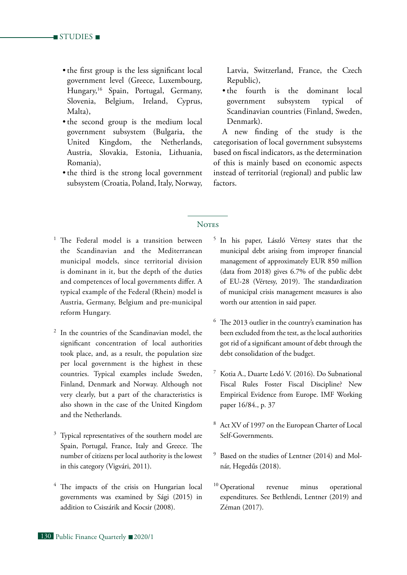- the first group is the less significant local government level (Greece, Luxembourg, Hungary,16 Spain, Portugal, Germany, Slovenia, Belgium, Ireland, Cyprus, Malta),
- the second group is the medium local government subsystem (Bulgaria, the United Kingdom, the Netherlands, Austria, Slovakia, Estonia, Lithuania, Romania),
- the third is the strong local government subsystem (Croatia, Poland, Italy, Norway,

Latvia, Switzerland, France, the Czech Republic),

• the fourth is the dominant local government subsystem typical of Scandinavian countries (Finland, Sweden, Denmark).

A new finding of the study is the categorisation of local government subsystems based on fiscal indicators, as the determination of this is mainly based on economic aspects instead of territorial (regional) and public law factors.

### **NOTES**

- <sup>1</sup> The Federal model is a transition between the Scandinavian and the Mediterranean municipal models, since territorial division is dominant in it, but the depth of the duties and competences of local governments differ. A typical example of the Federal (Rhein) model is Austria, Germany, Belgium and pre-municipal reform Hungary.
- In the countries of the Scandinavian model, the significant concentration of local authorities took place, and, as a result, the population size per local government is the highest in these countries. Typical examples include Sweden, Finland, Denmark and Norway. Although not very clearly, but a part of the characteristics is also shown in the case of the United Kingdom and the Netherlands.
- Typical representatives of the southern model are Spain, Portugal, France, Italy and Greece. The number of citizens per local authority is the lowest in this category (Vigvári, 2011).
- The impacts of the crisis on Hungarian local governments was examined by Sági (2015) in addition to Csiszárik and Kocsir (2008).
- <sup>5</sup> In his paper, László Vértesy states that the municipal debt arising from improper financial management of approximately EUR 850 million (data from 2018) gives 6.7% of the public debt of EU-28 (Vértesy, 2019). The standardization of municipal crisis management measures is also worth our attention in said paper.
- <sup>6</sup> The 2013 outlier in the country's examination has been excluded from the test, as the local authorities got rid of a significant amount of debt through the debt consolidation of the budget.
- Kotia A., Duarte Ledó V. (2016). Do Subnational Fiscal Rules Foster Fiscal Discipline? New Empirical Evidence from Europe. IMF Working paper 16/84., p. 37
- <sup>8</sup> Act XV of 1997 on the European Charter of Local Self-Governments.
- <sup>9</sup> Based on the studies of Lentner (2014) and Molnár, Hegedűs (2018).
- <sup>10</sup> Operational revenue minus operational expenditures. See Bethlendi, Lentner (2019) and Zéman (2017).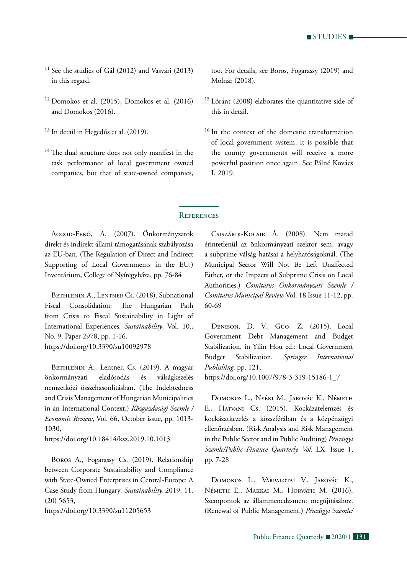$\blacksquare$  STUDIES  $\blacksquare$ 

- <sup>11</sup> See the studies of Gál (2012) and Vasvári (2013) in this regard.
- $12$  Domokos et al. (2015), Domokos et al. (2016) and Domokos (2016).
- <sup>13</sup> In detail in Hegedűs et al. (2019).
- <sup>14</sup> The dual structure does not only manifest in the task performance of local government owned companies, but that of state-owned companies,

too. For details, see Boros, Fogarassy (2019) and Molnár (2018).

- <sup>15</sup> Lóránt (2008) elaborates the quantitative side of this in detail.
- <sup>16</sup> In the context of the domestic transformation of local government system, it is possible that the county governments will receive a more powerful position once again. See Pálné Kovács I. 2019.

### **REFERENCES**

Aggod-Fekó, A. (2007). Önkormányzatok direkt és indirekt állami támogatásának szabályozása az EU-ban. (The Regulation of Direct and Indirect Supporting of Local Governments in the EU.) Inventárium, College of Nyíregyháza, pp. 76-84

BETHLENDI A., LENTNER Cs. (2018). Subnational Fiscal Consolidation: The Hungarian Path from Crisis to Fiscal Sustainability in Light of International Experiences. *Sustainability*, Vol. 10., No. 9, Paper 2978, pp. 1-16, https://doi.org/10.3390/su10092978

BETHLENDI A., Lentner, Cs. (2019). A magyar önkormányzati eladósodás és válságkezelés nemzetközi összehasonlításban. (The Indebtedness and Crisis Management of Hungarian Municipalities in an International Context.) *Közgazdasági Szemle / Economic Review*, Vol. 66, October issue, pp. 1013- 1030,

https://doi.org/10.18414/ksz.2019.10.1013

Boros A., Fogarassy Cs. (2019). Relationship between Corporate Sustainability and Compliance with State-Owned Enterprises in Central-Europe: A Case Study from Hungary*. Sustainability,* 2019. 11. (20) 5653,

https://doi.org/10.3390/su11205653

Csiszárik-Kocsir Á. (2008). Nem marad érintetlenül az önkormányzati szektor sem, avagy a subprime válság hatásai a helyhatóságoknál. (The Municipal Sector Will Not Be Left Unaffected Either, or the Impacts of Subprime Crisis on Local Authorities.) *Comitatus Önkormányzati Szemle / Comitatus Municipal Review* Vol. 18 Issue 11-12, pp. 60-69

Denison, D. V., Guo, Z. (2015). Local Government Debt Management and Budget Stabilization. in Yilin Hou ed.: Local Government Budget Stabilization. *Springer International Publishing,* pp. 121,

https://doi.org/10.1007/978-3-319-15186-1\_7

Domokos L., Nyéki M., Jakovác K., Németh E., Hatvani Cs. (2015). Kockázatelemzés és kockázatkezelés a közszférában és a közpénzügyi ellenőrzésben. (Risk Analysis and Risk Management in the Public Sector and in Public Auditing) *Pénzügyi Szemle/Public Finance Quarterly, Vol.* LX, Issue 1, pp. 7-28

Domokos L., Várpalotai V., Jakovác K., Németh E., Makkai M., Horváth M. (2016). Szempontok az állammenedzsment megújításához. (Renewal of Public Management.) *Pénzügyi Szemle/*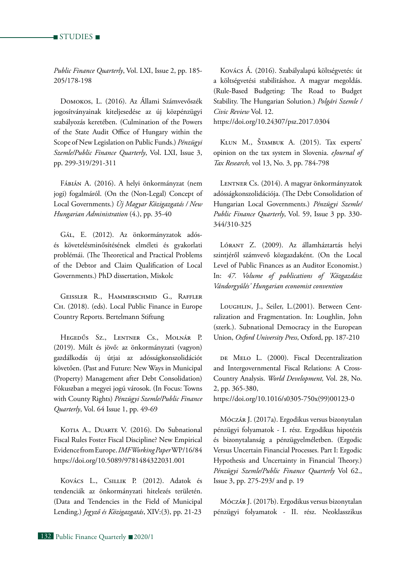*Public Finance Quarterly*, Vol. LXI, Issue 2, pp. 185- 205/178-198

Domokos, L. (2016). Az Állami Számvevőszék jogosítványainak kiteljesedése az új közpénzügyi szabályozás keretében. (Culmination of the Powers of the State Audit Office of Hungary within the Scope of New Legislation on Public Funds.) *Pénzügyi Szemle/Public Finance Quarterly*, Vol. LXI, Issue 3, pp. 299-319/291-311

Fábián A. (2016). A helyi önkormányzat (nem jogi) fogalmáról. (On the (Non-Legal) Concept of Local Governments.) *Új Magyar Közigazgatás / New Hungarian Administration* (4.), pp. 35-40

Gál, E. (2012). Az önkormányzatok adósés követelésminősítésének elméleti és gyakorlati problémái. (The Theoretical and Practical Problems of the Debtor and Claim Qualification of Local Governments.) PhD dissertation, Miskolc

Geissler R., Hammerschmid G., Raffler Ch. (2018). (eds). Local Public Finance in Europe Country Reports. Bertelmann Stiftung

Hegedűs Sz., Lentner Cs., Molnár P. (2019). Múlt és jövő: az önkormányzati (vagyon) gazdálkodás új útjai az adósságkonszolidációt követően. (Past and Future: New Ways in Municipal (Property) Management after Debt Consolidation) Fókuszban a megyei jogú városok. (In Focus: Towns with County Rights) *Pénzügyi Szemle/Public Finance Quarterly*, Vol. 64 Issue 1, pp. 49-69

KOTIA A., DUARTE V. (2016). Do Subnational Fiscal Rules Foster Fiscal Discipline? New Empirical Evidence from Europe. *IMF Working Paper* WP/16/84 https://doi.org/10.5089/9781484322031.001

Kovács L., Csillik P. (2012). Adatok és tendenciák az önkormányzati hitelezés területén. (Data and Tendencies in the Field of Municipal Lending.) *Jegyző és Közigazgatás*, XIV:(3), pp. 21-23

Kovács Á. (2016). Szabályalapú költségvetés: út a költségvetési stabilitáshoz. A magyar megoldás. (Rule-Based Budgeting: The Road to Budget Stability. The Hungarian Solution.) *Polgári Szemle / Civic Review* Vol. 12. https://doi.org/10.24307/psz.2017.0304

Klun M., Štambuk A. (2015). Tax experts' opinion on the tax system in Slovenia. *eJournal of Tax Research,* vol 13, No. 3, pp. 784-798

LENTNER Cs. (2014). A magyar önkormányzatok adósságkonszolidációja. (The Debt Consolidation of Hungarian Local Governments.) *Pénzügyi Szemle/ Public Finance Quarterly*, Vol. 59, Issue 3 pp. 330- 344/310-325

Lórant Z. (2009). Az államháztartás helyi szintjéről számvevő közgazdaként. (On the Local Level of Public Finances as an Auditor Economist.) In: *47. Volume of publications of 'Közgazdász Vándorgyűlés' Hungarian economist convention*

Loughlin, J., Seiler, L.(2001). Between Centralization and Fragmentation. In: Loughlin, John (szerk.). Subnational Democracy in the European Union, *Oxford University Press*, Oxford, pp. 187-210

DE MELO L. (2000). Fiscal Decentralization and Intergovernmental Fiscal Relations: A Cross-Country Analysis. *World Development,* Vol. 28, No. 2, pp. 365-380,

https://doi.org/10.1016/s0305-750x(99)00123-0

Móczár J. (2017a). Ergodikus versus bizonytalan pénzügyi folyamatok - I. rész. Ergodikus hipotézis és bizonytalanság a pénzügyelméletben. (Ergodic Versus Uncertain Financial Processes. Part I: Ergodic Hypothesis and Uncertainty in Financial Theory.) *Pénzügyi Szemle/Public Finance Quarterly* Vol 62., Issue 3, pp. 275-293/ and p. 19

Móczár J. (2017b). Ergodikus versus bizonytalan pénzügyi folyamatok - II. rész. Neoklasszikus